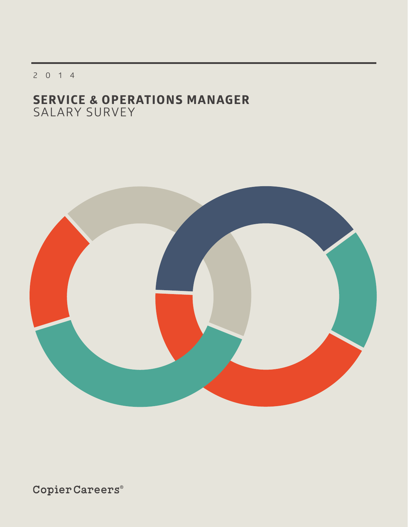2014

## **SERVICE & OPERATIONS MANAGER** SALARY SURVEY



 $\texttt{CopierCareers}^{\circ}$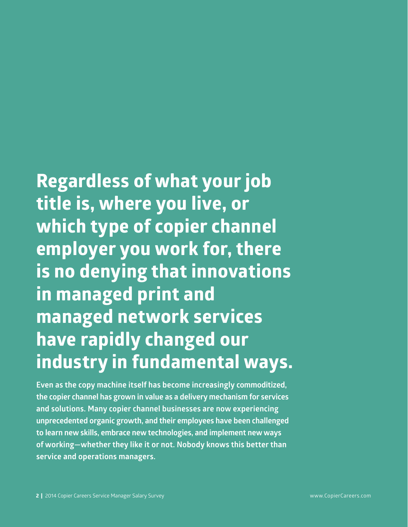# **Regardless of what your job title is, where you live, or which type of copier channel employer you work for, there is no denying that innovations in managed print and**

**managed network services have rapidly changed our industry in fundamental ways.**

**Even as the copy machine itself has become increasingly commoditized, the copier channel has grown in value as a delivery mechanism for services and solutions. Many copier channel businesses are now experiencing unprecedented organic growth, and their employees have been challenged to learn new skills, embrace new technologies, and implement new ways of working—whether they like it or not. Nobody knows this better than service and operations managers.**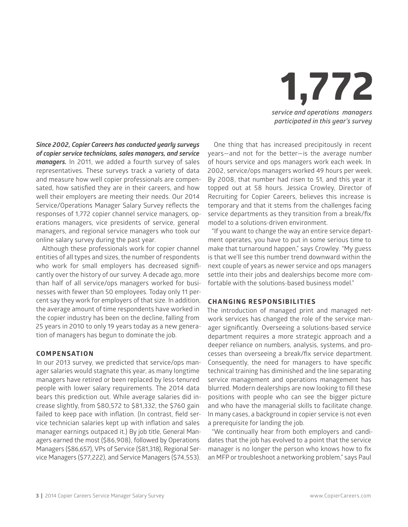

*Since 2002, Copier Careers has conducted yearly surveys of copier service technicians, sales managers, and service managers.* In 2011, we added a fourth survey of sales representatives. These surveys track a variety of data and measure how well copier professionals are compensated, how satisfied they are in their careers, and how well their employers are meeting their needs. Our 2014 Service/Operations Manager Salary Survey reflects the responses of 1,772 copier channel service managers, operations managers, vice presidents of service, general managers, and regional service managers who took our online salary survey during the past year.

Although these professionals work for copier channel entities of all types and sizes, the number of respondents who work for small employers has decreased significantly over the history of our survey. A decade ago, more than half of all service/ops managers worked for businesses with fewer than 50 employees. Today only 11 percent say they work for employers of that size. In addition, the average amount of time respondents have worked in the copier industry has been on the decline, falling from 25 years in 2010 to only 19 years today as a new generation of managers has begun to dominate the job.

#### **COMPENSATION**

In our 2013 survey, we predicted that service/ops manager salaries would stagnate this year, as many longtime managers have retired or been replaced by less-tenured people with lower salary requirements. The 2014 data bears this prediction out. While average salaries did increase slightly, from \$80,572 to \$81,332, the \$760 gain failed to keep pace with inflation. (In contrast, field service technician salaries kept up with inflation and sales manager earnings outpaced it.) By job title, General Managers earned the most (\$86,908), followed by Operations Managers (\$86,657), VPs of Service (\$81,318), Regional Service Managers (\$77,222), and Service Managers (\$74,553).

One thing that has increased precipitously in recent years—and not for the better—is the average number of hours service and ops managers work each week. In 2002, service/ops managers worked 49 hours per week. By 2008, that number had risen to 51, and this year it topped out at 58 hours. Jessica Crowley, Director of Recruiting for Copier Careers, believes this increase is temporary and that it stems from the challenges facing service departments as they transition from a break/fix model to a solutions-driven environment.

"If you want to change the way an entire service department operates, you have to put in some serious time to make that turnaround happen," says Crowley. "My guess is that we'll see this number trend downward within the next couple of years as newer service and ops managers settle into their jobs and dealerships become more comfortable with the solutions-based business model."

#### **CHANGING RESPONSIBILITIES**

The introduction of managed print and managed network services has changed the role of the service manager significantly. Overseeing a solutions-based service department requires a more strategic approach and a deeper reliance on numbers, analysis, systems, and processes than overseeing a break/fix service department. Consequently, the need for managers to have specific technical training has diminished and the line separating service management and operations management has blurred. Modern dealerships are now looking to fill these positions with people who can see the bigger picture and who have the managerial skills to facilitate change. In many cases, a background in copier service is not even a prerequisite for landing the job.

"We continually hear from both employers and candidates that the job has evolved to a point that the service manager is no longer the person who knows how to fix an MFP or troubleshoot a networking problem," says Paul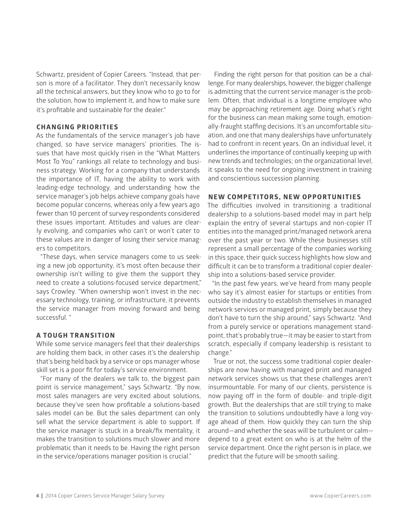Schwartz, president of Copier Careers. "Instead, that person is more of a facilitator. They don't necessarily know all the technical answers, but they know who to go to for the solution, how to implement it, and how to make sure it's profitable and sustainable for the dealer."

#### **CHANGING PRIORITIES**

As the fundamentals of the service manager's job have changed, so have service managers' priorities. The issues that have most quickly risen in the "What Matters Most To You" rankings all relate to technology and business strategy. Working for a company that understands the importance of IT, having the ability to work with leading-edge technology, and understanding how the service manager's job helps achieve company goals have become popular concerns, whereas only a few years ago fewer than 10 percent of survey respondents considered these issues important. Attitudes and values are clearly evolving, and companies who can't or won't cater to these values are in danger of losing their service managers to competitors.

"These days, when service managers come to us seeking a new job opportunity, it's most often because their ownership isn't willing to give them the support they need to create a solutions-focused service department," says Crowley. "When ownership won't invest in the necessary technology, training, or infrastructure, it prevents the service manager from moving forward and being successful. "

#### **A TOUGH TRANSITION**

While some service managers feel that their dealerships are holding them back, in other cases it's the dealership that's being held back by a service or ops manager whose skill set is a poor fit for today's service environment.

"For many of the dealers we talk to, the biggest pain point is service management," says Schwartz. "By now, most sales managers are very excited about solutions, because they've seen how profitable a solutions-based sales model can be. But the sales department can only sell what the service department is able to support. If the service manager is stuck in a break/fix mentality, it makes the transition to solutions much slower and more problematic than it needs to be. Having the right person in the service/operations manager position is crucial."

Finding the right person for that position can be a challenge. For many dealerships, however, the bigger challenge is admitting that the current service manager is the problem. Often, that individual is a longtime employee who may be approaching retirement age. Doing what's right for the business can mean making some tough, emotionally-fraught staffing decisions. It's an uncomfortable situation, and one that many dealerships have unfortunately had to confront in recent years. On an individual level, it underlines the importance of continually keeping up with new trends and technologies; on the organizational level, it speaks to the need for ongoing investment in training and conscientious succession planning.

#### **NEW COMPETITORS, NEW OPPORTUNITIES**

The difficulties involved in transitioning a traditional dealership to a solutions-based model may in part help explain the entry of several startups and non-copier IT entities into the managed print/managed network arena over the past year or two. While these businesses still represent a small percentage of the companies working in this space, their quick success highlights how slow and difficult it can be to transform a traditional copier dealership into a solutions-based service provider.

"In the past few years, we've heard from many people who say it's almost easier for startups or entities from outside the industry to establish themselves in managed network services or managed print, simply because they don't have to turn the ship around," says Schwartz. "And from a purely service or operations management standpoint, that's probably true—it may be easier to start from scratch, especially if company leadership is resistant to change."

True or not, the success some traditional copier dealerships are now having with managed print and managed network services shows us that these challenges aren't insurmountable. For many of our clients, persistence is now paying off in the form of double- and triple-digit growth. But the dealerships that are still trying to make the transition to solutions undoubtedly have a long voyage ahead of them. How quickly they can turn the ship around—and whether the seas will be turbulent or calm depend to a great extent on who is at the helm of the service department. Once the right person is in place, we predict that the future will be smooth sailing.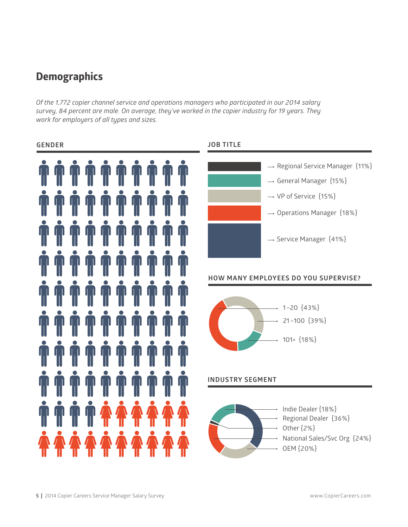## **Demographics**

*Of the 1,772 copier channel service and operations managers who participated in our 2014 salary survey, 84 percent are male. On average, they've worked in the copier industry for 19 years. They work for employers of all types and sizes.* 



### **5** | 2014 Copier Careers Service Manager Salary Survey www.CopierCareers.com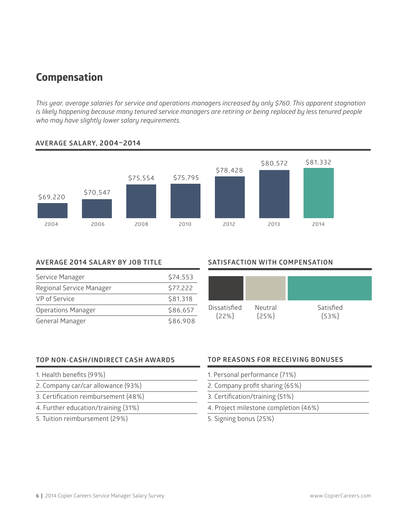## **Compensation**

*This year, average salaries for service and operations managers increased by only \$760. This apparent stagnation is likely happening because many tenured service managers are retiring or being replaced by less tenured people who may have slightly lower salary requirements.* 



#### **AVERAGE SALARY, 2004–2014**

#### **AVERAGE 2014 SALARY BY JOB TITLE**

| Service Manager           | \$74,553 |
|---------------------------|----------|
| Regional Service Manager  | \$77,222 |
| VP of Service             | \$81,318 |
| <b>Operations Manager</b> | \$86,657 |
| General Manager           | \$86,908 |

#### **SATISFACTION WITH COMPENSATION SATISFACTION WITH COMP**



#### **TOP NON-CASH/INDIRECT CASH AWARDS**

- 1. Health benefits (99%)
- 2. Company car/car allowance (93%)
- 3. Certification reimbursement (48%)
- 4. Further education/training (31%)
- 5. Tuition reimbursement (29%)

#### **TOP REASONS FOR RECEIVING BONUSES**

- 1. Personal performance (71%)
- 2. Company profit sharing (65%)
- 3. Certification/training (51%)
- 4. Project milestone completion (46%)
- 5. Signing bonus (25%)